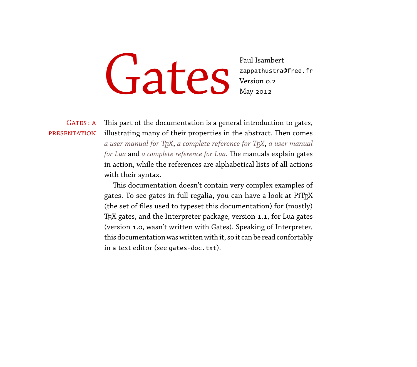# Paul Isambert<br> **Gate Claudi Standard Version 0.2**<br>
May 2012 zappathustra@free.fr Version 0.2 May 2012

GATES : A This part of the documentation is a general introduction to gates, pRESENTATION illustrating many of their properties in the abstract. Then comes *[a user manual for TEX](#page-12-0)*, *[a complete reference for TEX](#page-38-0)*, *[a user manual](#page-45-0) [for Lua](#page-45-0)* and *[a complete reference for Lua](#page-64-0)*. The manuals explain gates in action, while the references are alphabetical lists of all actions with their syntax.

> This documentation doesn't contain very complex examples of gates. To see gates in full regalia, you can have a look at PiTEX (the set of files used to typeset this documentation) for (mostly) TEX gates, and the Interpreter package, version 1.1, for Lua gates (version 1.0, wasn't written with Gates). Speaking of Interpreter, this documentation was written with it, so it can be read confortably in a text editor (see gates-doc.txt).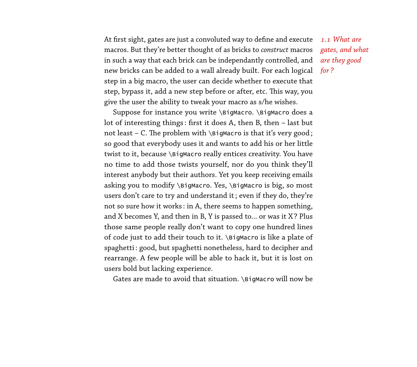At first sight, gates are just a convoluted way to define and execute *1.1 What are* macros. But they're better thought of as bricks to *construct* macros in such a way that each brick can be independantly controlled, and new bricks can be added to a wall already built. For each logical step in a big macro, the user can decide whether to execute that step, bypass it, add a new step before or after, etc. This way, you give the user the ability to tweak your macro as s/he wishes.

Suppose for instance you write \BigMacro. \BigMacro does a lot of interesting things: first it does A, then B, then - last but not least - C. The problem with \BigMacro is that it's very good; so good that everybody uses it and wants to add his or her little twist to it, because \BigMacro really entices creativity. You have no time to add those twists yourself, nor do you think they'll interest anybody but their authors. Yet you keep receiving emails asking you to modify \BigMacro. Yes, \BigMacro is big, so most users don't care to try and understand it ; even if they do, they're not so sure how it works : in A, there seems to happen something, and X becomes Y, and then in B, Y is passed to... or was it  $X$ ? Plus those same people really don't want to copy one hundred lines of code just to add their touch to it. \BigMacro is like a plate of spaghetti : good, but spaghetti nonetheless, hard to decipher and rearrange. A few people will be able to hack it, but it is lost on users bold but lacking experience.

Gates are made to avoid that situation. \BigMacro will now be

*gates, and what are they good for ?*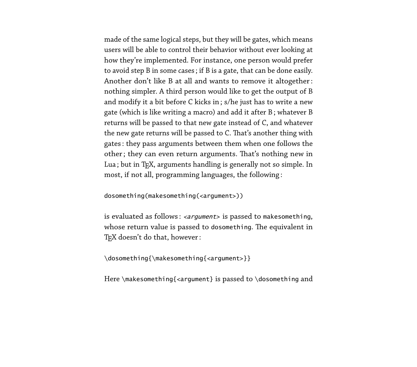made of the same logical steps, but they will be gates, which means users will be able to control their behavior without ever looking at how they're implemented. For instance, one person would prefer to avoid step B in some cases ; if B is a gate, that can be done easily. Another don't like B at all and wants to remove it altogether : nothing simpler. A third person would like to get the output of B and modify it a bit before C kicks in ; s/he just has to write a new gate (which is like writing a macro) and add it after B ; whatever B returns will be passed to that new gate instead of C, and whatever the new gate returns will be passed to C. That's another thing with gates : they pass arguments between them when one follows the other; they can even return arguments. That's nothing new in Lua; but in TEX, arguments handling is generally not so simple. In most, if not all, programming languages, the following :

```
dosomething(makesomething(<argument>))
```
is evaluated as follows: <argument> is passed to makesomething, whose return value is passed to dosomething. The equivalent in TEX doesn't do that, however:

```
\dosomething{\makesomething{<argument>}}
```
Here \makesomething{<argument} is passed to \dosomething and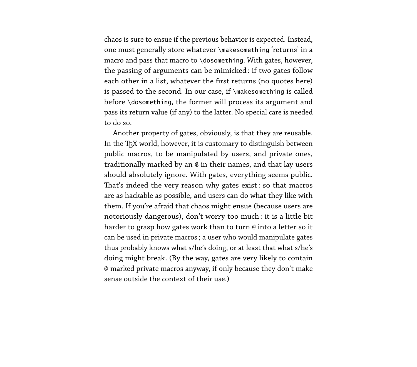chaos is sure to ensue if the previous behavior is expected. Instead, one must generally store whatever \makesomething 'returns' in a macro and pass that macro to \dosomething. With gates, however, the passing of arguments can be mimicked : if two gates follow each other in a list, whatever the first returns (no quotes here) is passed to the second. In our case, if \makesomething is called before \dosomething, the former will process its argument and pass its return value (if any) to the latter. No special care is needed to do so.

Another property of gates, obviously, is that they are reusable. In the TEX world, however, it is customary to distinguish between public macros, to be manipulated by users, and private ones, traditionally marked by an @ in their names, and that lay users should absolutely ignore. With gates, everything seems public. That's indeed the very reason why gates exist: so that macros are as hackable as possible, and users can do what they like with them. If you're afraid that chaos might ensue (because users are notoriously dangerous), don't worry too much : it is a little bit harder to grasp how gates work than to turn @ into a letter so it can be used in private macros ; a user who would manipulate gates thus probably knows what s/he's doing, or at least that what s/he's doing might break. (By the way, gates are very likely to contain @-marked private macros anyway, if only because they don't make sense outside the context of their use.)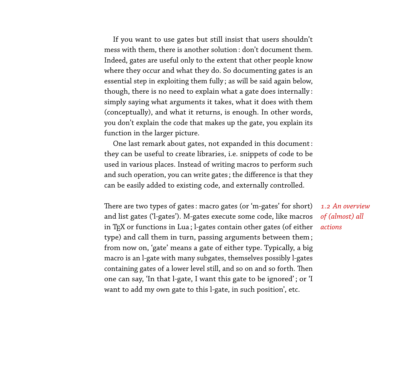If you want to use gates but still insist that users shouldn't mess with them, there is another solution : don't document them. Indeed, gates are useful only to the extent that other people know where they occur and what they do. So documenting gates is an essential step in exploiting them fully ; as will be said again below, though, there is no need to explain what a gate does internally : simply saying what arguments it takes, what it does with them (conceptually), and what it returns, is enough. In other words, you don't explain the code that makes up the gate, you explain its function in the larger picture.

One last remark about gates, not expanded in this document : they can be useful to create libraries, i.e. snippets of code to be used in various places. Instead of writing macros to perform such and such operation, you can write gates ; the difference is that they can be easily added to existing code, and externally controlled.

There are two types of gates: macro gates (or 'm-gates' for short) *1.2 An overview* and list gates (`l-gates'). M-gates execute some code, like macros in T<sub>E</sub>X or functions in Lua; l-gates contain other gates (of either type) and call them in turn, passing arguments between them ; from now on, `gate' means a gate of either type. Typically, a big macro is an l-gate with many subgates, themselves possibly l-gates containing gates of a lower level still, and so on and so forth. Then one can say, `In that l-gate, I want this gate to be ignored' ; or `I want to add my own gate to this l-gate, in such position', etc.

*of (almost) all actions*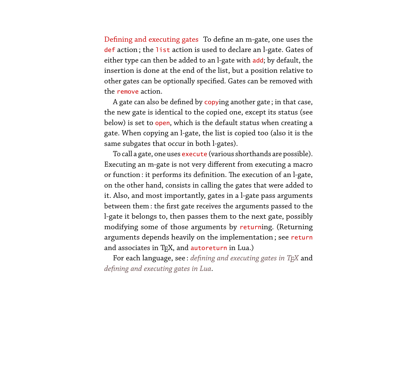Defining and executing gates To define an m-gate, one uses the def action; the list action is used to declare an l-gate. Gates of either type can then be added to an l-gate with add; by default, the insertion is done at the end of the list, but a position relative to other gates can be optionally specified. Gates can be removed with the remove action.

A gate can also be defined by copying another gate ; in that case, the new gate is identical to the copied one, except its status (see below) is set to open, which is the default status when creating a gate. When copying an l-gate, the list is copied too (also it is the same subgates that occur in both l-gates).

To call a gate, one uses execute (various shorthands are possible). Executing an m-gate is not very different from executing a macro or function : it performs its definition. The execution of an l-gate, on the other hand, consists in calling the gates that were added to it. Also, and most importantly, gates in a l-gate pass arguments between them : the first gate receives the arguments passed to the l-gate it belongs to, then passes them to the next gate, possibly modifying some of those arguments by returning. (Returning arguments depends heavily on the implementation ; see return and associates in TEX, and autoreturn in Lua.)

For each language, see : *[defining and executing gates in TEX](#page-13-0)* and *[defining and executing gates in Lua](#page-47-0)*.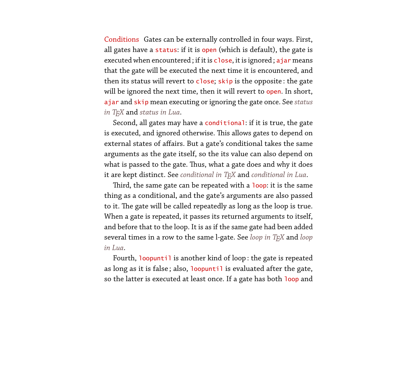Conditions Gates can be externally controlled in four ways. First, all gates have a status: if it is open (which is default), the gate is executed when encountered; if it is close, it is ignored; ajar means that the gate will be executed the next time it is encountered, and then its status will revert to close; skip is the opposite: the gate will be ignored the next time, then it will revert to open. In short, ajar and skip mean executing or ignoring the gate once. See *[status](#page-21-0) [in TEX](#page-21-0)* and *[status in Lua](#page-53-0)*.

Second, all gates may have a conditional: if it is true, the gate is executed, and ignored otherwise. This allows gates to depend on external states of affairs. But a gate's conditional takes the same arguments as the gate itself, so the its value can also depend on what is passed to the gate. Thus, what a gate does and why it does it are kept distinct. See *[conditional in TEX](#page-24-0)* and *[conditional in Lua](#page-54-0)*.

Third, the same gate can be repeated with a loop: it is the same thing as a conditional, and the gate's arguments are also passed to it. The gate will be called repeatedly as long as the loop is true. When a gate is repeated, it passes its returned arguments to itself, and before that to the loop. It is as if the same gate had been added several times in a row to the same l-gate. See *[loop in TEX](#page-27-0)* and *[loop](#page-55-0) [in Lua](#page-55-0)*.

Fourth, loopuntil is another kind of loop : the gate is repeated as long as it is false; also, loopuntil is evaluated after the gate, so the latter is executed at least once. If a gate has both loop and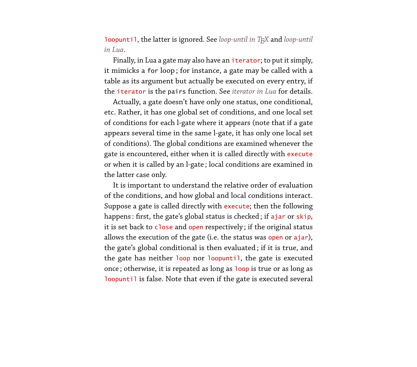loopuntil, the latter is ignored. See *[loop-until in TEX](#page-28-0)* and *[loop-until](#page-56-0) [in Lua](#page-56-0)*.

Finally, in Lua a gate may also have an iterator; to put it simply, it mimicks a for loop ; for instance, a gate may be called with a table as its argument but actually be executed on every entry, if the iterator is the pairs function. See *[iterator in Lua](#page-56-1)* for details.

Actually, a gate doesn't have only one status, one conditional, etc. Rather, it has one global set of conditions, and one local set of conditions for each l-gate where it appears (note that if a gate appears several time in the same l-gate, it has only one local set of conditions). The global conditions are examined whenever the gate is encountered, either when it is called directly with execute or when it is called by an l-gate ; local conditions are examined in the latter case only.

It is important to understand the relative order of evaluation of the conditions, and how global and local conditions interact. Suppose a gate is called directly with execute; then the following happens : first, the gate's global status is checked; if ajar or skip, it is set back to close and open respectively; if the original status allows the execution of the gate (i.e. the status was open or ajar), the gate's global conditional is then evaluated ; if it is true, and the gate has neither loop nor loopuntil, the gate is executed once ; otherwise, it is repeated as long as loop is true or as long as loopuntil is false. Note that even if the gate is executed several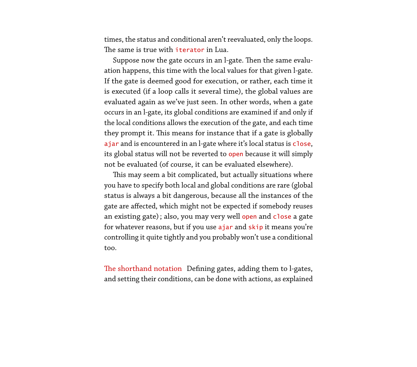times, the status and conditional aren't reevaluated, only the loops. The same is true with *iterator* in Lua.

Suppose now the gate occurs in an l-gate. Then the same evaluation happens, this time with the local values for that given l-gate. If the gate is deemed good for execution, or rather, each time it is executed (if a loop calls it several time), the global values are evaluated again as we've just seen. In other words, when a gate occurs in an l-gate, its global conditions are examined if and only if the local conditions allows the execution of the gate, and each time they prompt it. This means for instance that if a gate is globally ajar and is encountered in an l-gate where it's local status is close, its global status will not be reverted to open because it will simply not be evaluated (of course, it can be evaluated elsewhere).

This may seem a bit complicated, but actually situations where you have to specify both local and global conditions are rare (global status is always a bit dangerous, because all the instances of the gate are affected, which might not be expected if somebody reuses an existing gate); also, you may very well open and close a gate for whatever reasons, but if you use ajar and skip it means you're controlling it quite tightly and you probably won't use a conditional too.

The shorthand notation Defining gates, adding them to l-gates, and setting their conditions, can be done with actions, as explained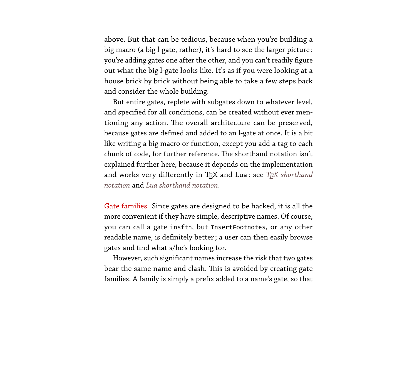above. But that can be tedious, because when you're building a big macro (a big l-gate, rather), it's hard to see the larger picture : you're adding gates one after the other, and you can't readily figure out what the big l-gate looks like. It's as if you were looking at a house brick by brick without being able to take a few steps back and consider the whole building.

But entire gates, replete with subgates down to whatever level, and specified for all conditions, can be created without ever mentioning any action. The overall architecture can be preserved, because gates are defined and added to an l-gate at once. It is a bit like writing a big macro or function, except you add a tag to each chunk of code, for further reference. The shorthand notation isn't explained further here, because it depends on the implementation and works very differently in TEX and Lua : see *[TEX shorthand](#page-29-0) [notation](#page-29-0)* and *[Lua shorthand notation](#page-59-0)*.

Gate families Since gates are designed to be hacked, it is all the more convenient if they have simple, descriptive names. Of course, you can call a gate insftn, but InsertFootnotes, or any other readable name, is definitely better ; a user can then easily browse gates and find what s/he's looking for.

However, such significant names increase the risk that two gates bear the same name and clash. This is avoided by creating gate families. A family is simply a prefix added to a name's gate, so that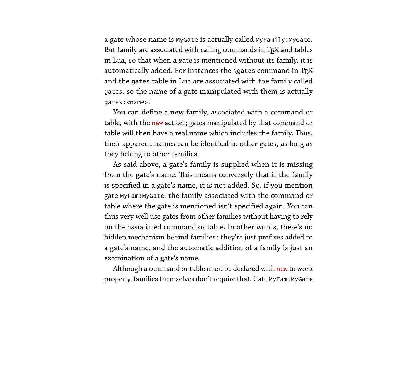a gate whose name is MyGate is actually called MyFamily:MyGate. But family are associated with calling commands in TEX and tables in Lua, so that when a gate is mentioned without its family, it is automatically added. For instances the \gates command in  $TEX$ and the gates table in Lua are associated with the family called gates, so the name of a gate manipulated with them is actually gates:<name>.

You can define a new family, associated with a command or table, with the new action; gates manipulated by that command or table will then have a real name which includes the family. Thus, their apparent names can be identical to other gates, as long as they belong to other families.

As said above, a gate's family is supplied when it is missing from the gate's name. This means conversely that if the family is specified in a gate's name, it is not added. So, if you mention gate MyFam:MyGate, the family associated with the command or table where the gate is mentioned isn't specified again. You can thus very well use gates from other families without having to rely on the associated command or table. In other words, there's no hidden mechanism behind families : they're just prefixes added to a gate's name, and the automatic addition of a family is just an examination of a gate's name.

Although a command or table must be declared with new to work properly, families themselves don't require that. Gate MyFam:MyGate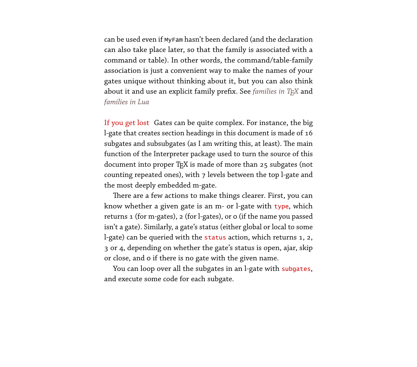can be used even if MyFam hasn't been declared (and the declaration can also take place later, so that the family is associated with a command or table). In other words, the command/table-family association is just a convenient way to make the names of your gates unique without thinking about it, but you can also think about it and use an explicit family prefix. See *[families in TEX](#page-35-0)* and *[families in Lua](#page-62-0)*

If you get lost Gates can be quite complex. For instance, the big l-gate that creates section headings in this document is made of 16 subgates and subsubgates (as I am writing this, at least). The main function of the Interpreter package used to turn the source of this document into proper T<sub>E</sub>X is made of more than 25 subgates (not counting repeated ones), with 7 levels between the top l-gate and the most deeply embedded m-gate.

There are a few actions to make things clearer. First, you can know whether a given gate is an m- or l-gate with type, which returns 1 (for m-gates), 2 (for l-gates), or 0 (if the name you passed isn't a gate). Similarly, a gate's status (either global or local to some l-gate) can be queried with the status action, which returns 1, 2, 3 or 4, depending on whether the gate's status is open, ajar, skip or close, and 0 if there is no gate with the given name.

You can loop over all the subgates in an l-gate with subgates, and execute some code for each subgate.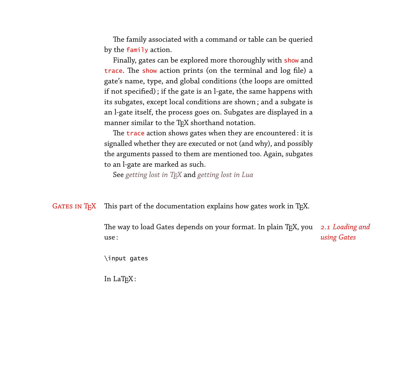The family associated with a command or table can be queried by the family action.

Finally, gates can be explored more thoroughly with show and trace. The show action prints (on the terminal and log file) a gate's name, type, and global conditions (the loops are omitted if not specified) ; if the gate is an l-gate, the same happens with its subgates, except local conditions are shown ; and a subgate is an l-gate itself, the process goes on. Subgates are displayed in a manner similar to the TEX shorthand notation.

The trace action shows gates when they are encountered: it is signalled whether they are executed or not (and why), and possibly the arguments passed to them are mentioned too. Again, subgates to an l-gate are marked as such.

See *[getting lost in TEX](#page-36-0)* and *[getting lost in Lua](#page-63-0)*

GATES IN T<sub>E</sub>X This part of the documentation explains how gates work in T<sub>E</sub>X.

<span id="page-12-0"></span>The way to load Gates depends on your format. In plain T<sub>E</sub>X, you 2.1 Loading and use : *using Gates*

\input gates

In LaT<sub>F</sub>X: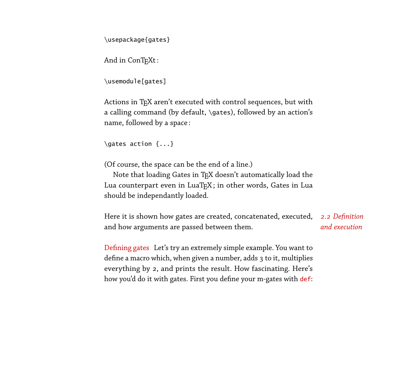\usepackage{gates}

And in ConTEXt:

\usemodule[gates]

Actions in TEX aren't executed with control sequences, but with a calling command (by default, \gates), followed by an action's name, followed by a space :

```
\gates action {...}
```
(Of course, the space can be the end of a line.)

Note that loading Gates in TEX doesn't automatically load the Lua counterpart even in LuaTEX; in other words, Gates in Lua should be independantly loaded.

<span id="page-13-0"></span>Here it is shown how gates are created, concatenated, executed, *2.2 Definition* and how arguments are passed between them. *and execution*

Defining gates Let's try an extremely simple example. You want to define a macro which, when given a number, adds 3 to it, multiplies everything by 2, and prints the result. How fascinating. Here's how you'd do it with gates. First you define your m-gates with def: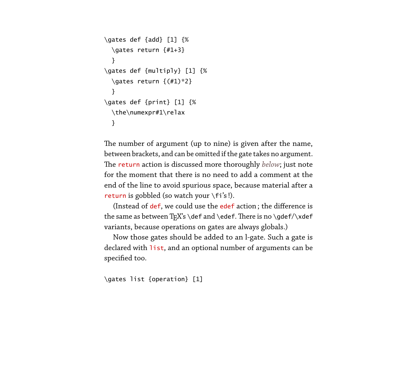```
\gates def {add} [1] {%
  \gates return {#1+3}
  }
\gates def {multiply} [1] {%
  \gates return {(#1)*2}
  }
\gates def {print} [1] {%
  \the\numexpr#1\relax
  }
```
The number of argument (up to nine) is given after the name, between brackets, and can be omitted if the gate takes no argument. The return action is discussed more thoroughly *[below](#page-17-0)*; just note for the moment that there is no need to add a comment at the end of the line to avoid spurious space, because material after a return is gobbled (so watch your \fi's!).

(Instead of def, we could use the edef action ; the difference is the same as between  $TEX's \def and \def. There is no \gdef/\xdef$ variants, because operations on gates are always globals.)

Now those gates should be added to an l-gate. Such a gate is declared with list, and an optional number of arguments can be specified too.

\gates list {operation} [1]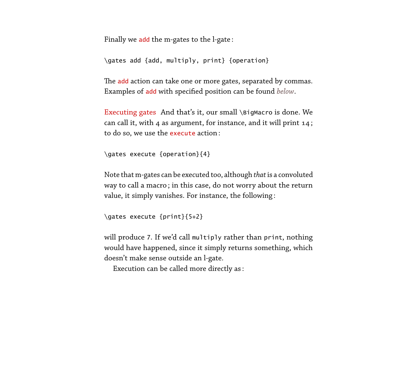Finally we add the m-gates to the l-gate :

\gates add {add, multiply, print} {operation}

The add action can take one or more gates, separated by commas. Examples of add with specified position can be found *[below](#page-16-0)*.

Executing gates And that's it, our small \BigMacro is done. We can call it, with 4 as argument, for instance, and it will print  $14$ ; to do so, we use the execute action :

```
\gates execute {operation}{4}
```
Note that m-gates can be executed too, although *that*is a convoluted way to call a macro ; in this case, do not worry about the return value, it simply vanishes. For instance, the following :

```
\gates execute {print}{5+2}
```
will produce 7. If we'd call multiply rather than print, nothing would have happened, since it simply returns something, which doesn't make sense outside an l-gate.

Execution can be called more directly as :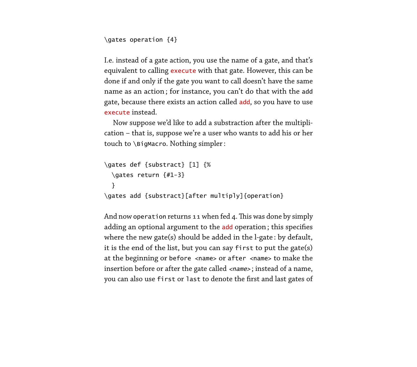```
\gates operation {4}
```
I.e. instead of a gate action, you use the name of a gate, and that's equivalent to calling execute with that gate. However, this can be done if and only if the gate you want to call doesn't have the same name as an action ; for instance, you can't do that with the add gate, because there exists an action called add, so you have to use execute instead.

<span id="page-16-0"></span>Now suppose we'd like to add a substraction after the multiplication – that is, suppose we're a user who wants to add his or her touch to \BigMacro. Nothing simpler:

```
\gates def {substract} [1] {%
  \gates return {#1-3}
  }
\gates add {substract}[after multiply]{operation}
```
And now operation returns 11 when fed 4. This was done by simply adding an optional argument to the add operation; this specifies where the new gate(s) should be added in the l-gate : by default, it is the end of the list, but you can say first to put the gate(s) at the beginning or before <name> or after <name> to make the insertion before or after the gate called <*name*>; instead of a name, you can also use first or last to denote the first and last gates of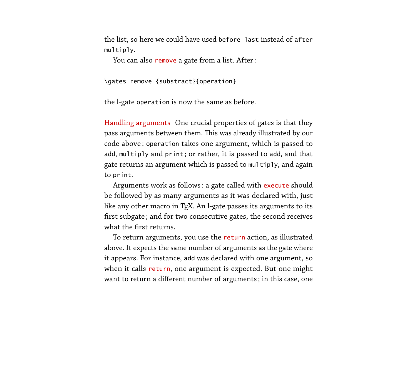the list, so here we could have used before last instead of after multiply.

You can also remove a gate from a list. After :

\gates remove {substract}{operation}

the l-gate operation is now the same as before.

<span id="page-17-0"></span>Handling arguments One crucial properties of gates is that they pass arguments between them. This was already illustrated by our code above : operation takes one argument, which is passed to add, multiply and print ; or rather, it is passed to add, and that gate returns an argument which is passed to multiply, and again to print.

Arguments work as follows : a gate called with execute should be followed by as many arguments as it was declared with, just like any other macro in TEX. An l-gate passes its arguments to its first subgate ; and for two consecutive gates, the second receives what the first returns.

To return arguments, you use the return action, as illustrated above. It expects the same number of arguments as the gate where it appears. For instance, add was declared with one argument, so when it calls return, one argument is expected. But one might want to return a different number of arguments ; in this case, one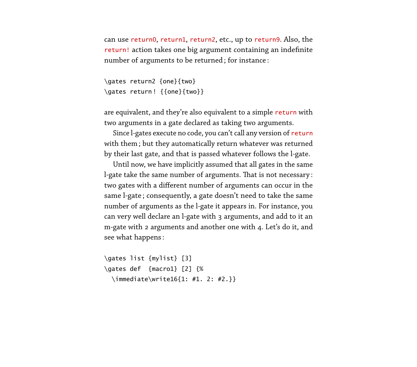can use return0, return1, return2, etc., up to return9. Also, the return! action takes one big argument containing an indefinite number of arguments to be returned ; for instance :

```
\gates return2 {one}{two}
\gates return ! {{one}{two}}
```
are equivalent, and they're also equivalent to a simple return with two arguments in a gate declared as taking two arguments.

Since l-gates execute no code, you can't call any version of return with them ; but they automatically return whatever was returned by their last gate, and that is passed whatever follows the l-gate.

Until now, we have implicitly assumed that all gates in the same l-gate take the same number of arguments. That is not necessary: two gates with a different number of arguments can occur in the same l-gate ; consequently, a gate doesn't need to take the same number of arguments as the l-gate it appears in. For instance, you can very well declare an l-gate with 3 arguments, and add to it an m-gate with 2 arguments and another one with 4. Let's do it, and see what happens :

```
\gates list {mylist} [3]
\gates def {macro1} [2] {%
 \immediate\write16{1: #1. 2: #2.}}
```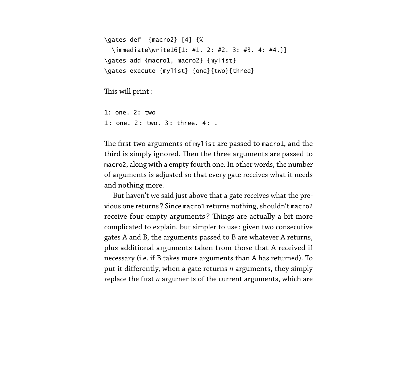```
\gates def {macro2} [4] {%
 \immediate\write16{1: #1. 2: #2. 3: #3. 4: #4.}}
\gates add {macro1, macro2} {mylist}
\gates execute {mylist} {one}{two}{three}
```
This will print:

```
1: one. 2: two
1: one. 2: two. 3: three. 4: .
```
The first two arguments of mylist are passed to macro1, and the third is simply ignored. Then the three arguments are passed to macro2, along with a empty fourth one. In other words, the number of arguments is adjusted so that every gate receives what it needs and nothing more.

But haven't we said just above that a gate receives what the previous one returns ? Since macro1 returns nothing, shouldn't macro2 receive four empty arguments? Things are actually a bit more complicated to explain, but simpler to use : given two consecutive gates A and B, the arguments passed to B are whatever A returns, plus additional arguments taken from those that A received if necessary (i.e. if B takes more arguments than A has returned). To put it differently, when a gate returns *n* arguments, they simply replace the first *n* arguments of the current arguments, which are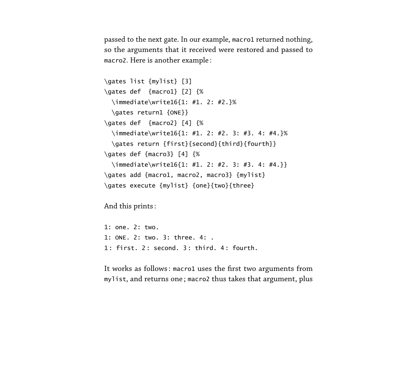passed to the next gate. In our example, macro1 returned nothing, so the arguments that it received were restored and passed to macro2. Here is another example :

```
\gates list {mylist} [3]
\gates def {macro1} [2] {%
 \immediate\write16{1: #1. 2: #2.}%
 \gates return1 {ONE}}
\gates def {macro2} [4] {%
 \immediate\write16{1: #1. 2: #2. 3: #3. 4: #4.}%
 \gates return {first}{second}{third}{fourth}}
\gates def {macro3} [4] {%
 \immediate\write16{1: #1. 2: #2. 3: #3. 4: #4.}}
\gates add {macro1, macro2, macro3} {mylist}
\gates execute {mylist} {one}{two}{three}
```
And this prints :

```
1: one. 2: two.
1: ONE. 2: two. 3: three. 4: .
1 : first. 2 : second. 3 : third. 4 : fourth.
```
It works as follows : macro1 uses the first two arguments from mylist, and returns one ; macro2 thus takes that argument, plus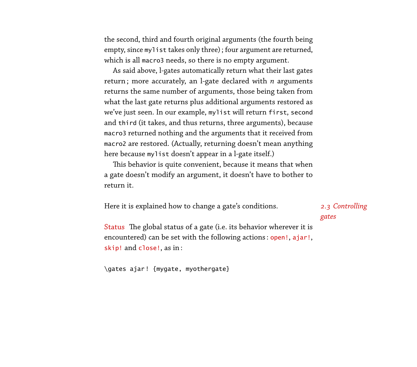the second, third and fourth original arguments (the fourth being empty, since mylist takes only three); four argument are returned, which is all macro3 needs, so there is no empty argument.

As said above, l-gates automatically return what their last gates return ; more accurately, an l-gate declared with *n* arguments returns the same number of arguments, those being taken from what the last gate returns plus additional arguments restored as we've just seen. In our example, mylist will return first, second and third (it takes, and thus returns, three arguments), because macro3 returned nothing and the arguments that it received from macro2 are restored. (Actually, returning doesn't mean anything here because mylist doesn't appear in a l-gate itself.)

This behavior is quite convenient, because it means that when a gate doesn't modify an argument, it doesn't have to bother to return it.

Here it is explained how to change a gate's conditions. *2.3 Controlling*

# *gates*

<span id="page-21-0"></span>Status The global status of a gate (i.e. its behavior wherever it is encountered) can be set with the following actions : open!, ajar!, skip! and close!, as in :

\gates ajar ! {mygate, myothergate}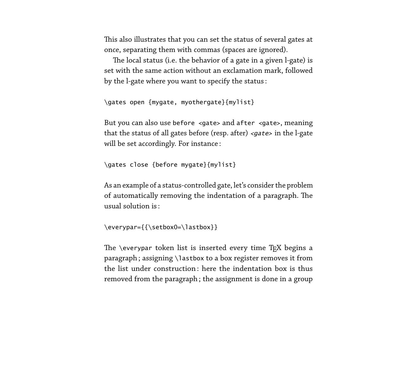This also illustrates that you can set the status of several gates at once, separating them with commas (spaces are ignored).

The local status (i.e. the behavior of a gate in a given l-gate) is set with the same action without an exclamation mark, followed by the l-gate where you want to specify the status :

```
\gates open {mygate, myothergate}{mylist}
```
But you can also use before <gate> and after <gate>, meaning that the status of all gates before (resp. after) <gate> in the l-gate will be set accordingly. For instance :

```
\gates close {before mygate}{mylist}
```
As an example of a status-controlled gate, let's consider the problem of automatically removing the indentation of a paragraph. The usual solution is :

```
\everypar={{\setbox0=\lastbox}}
```
The \everypar token list is inserted every time TEX begins a paragraph ; assigning \lastbox to a box register removes it from the list under construction : here the indentation box is thus removed from the paragraph ; the assignment is done in a group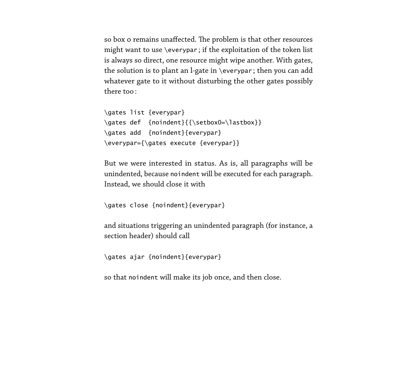so box 0 remains unaffected. The problem is that other resources might want to use \everypar ; if the exploitation of the token list is always so direct, one resource might wipe another. With gates, the solution is to plant an l-gate in \everypar ; then you can add whatever gate to it without disturbing the other gates possibly there too :

```
\gates list {everypar}
\gates def {noindent}{{\setbox0=\lastbox}}
\gates add {noindent}{everypar}
\everypar={\gates execute {everypar}}
```
But we were interested in status. As is, all paragraphs will be unindented, because noindent will be executed for each paragraph. Instead, we should close it with

```
\gates close {noindent}{everypar}
```
and situations triggering an unindented paragraph (for instance, a section header) should call

\gates ajar {noindent}{everypar}

so that noindent will make its job once, and then close.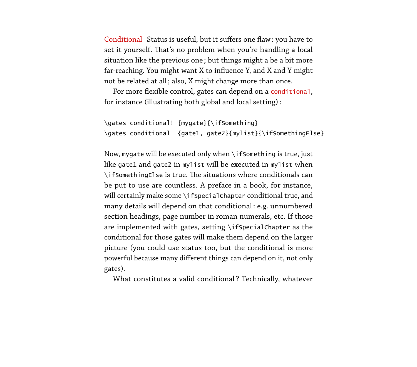<span id="page-24-0"></span>Conditional Status is useful, but it suffers one flaw : you have to set it yourself. That's no problem when you're handling a local situation like the previous one ; but things might a be a bit more far-reaching. You might want X to influence Y, and X and Y might not be related at all ; also, X might change more than once.

For more flexible control, gates can depend on a conditional, for instance (illustrating both global and local setting) :

```
\gates conditional! {mygate}{\ifSomething}
\gates conditional {gate1, gate2}{mylist}{\ifSomethingElse}
```
Now, mygate will be executed only when  $\iota$  if Something is true, just like gate1 and gate2 in mylist will be executed in mylist when  $\iint$ SomethingElse is true. The situations where conditionals can be put to use are countless. A preface in a book, for instance, will certainly make some \ifSpecialChapter conditional true, and many details will depend on that conditional : e.g. unnumbered section headings, page number in roman numerals, etc. If those are implemented with gates, setting  $\iota$  ifSpecialChapter as the conditional for those gates will make them depend on the larger picture (you could use status too, but the conditional is more powerful because many different things can depend on it, not only gates).

What constitutes a valid conditional ? Technically, whatever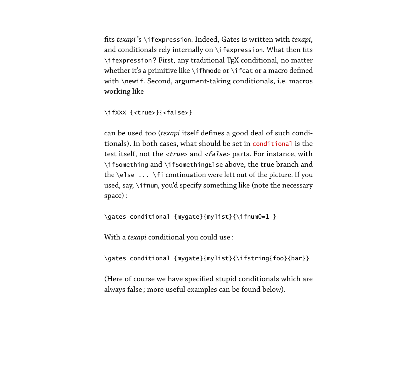fits *texapi* 's \ifexpression. Indeed, Gates is written with *texapi*, and conditionals rely internally on  $\iota$  ifexpression. What then fits \ifexpression ? First, any traditional TEX conditional, no matter whether it's a primitive like \ifhmode or \ifcat or a macro defined with \newif. Second, argument-taking conditionals, i.e. macros working like

```
\ifXXX {<true>}{<false>}
```
can be used too (*texapi* itself defines a good deal of such conditionals). In both cases, what should be set in conditional is the test itself, not the <true> and <false> parts. For instance, with \ifSomething and \ifSomethingElse above, the true branch and the \else ... \fi continuation were left out of the picture. If you used, say, \ifnum, you'd specify something like (note the necessary space) :

\gates conditional {mygate}{mylist}{\ifnum0=1 }

With a *texapi* conditional you could use :

\gates conditional {mygate}{mylist}{\ifstring{foo}{bar}}

(Here of course we have specified stupid conditionals which are always false ; more useful examples can be found below).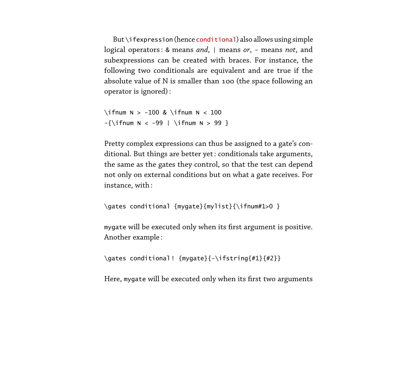But \ifexpression (hence conditional) also allows using simple logical operators : & means *and*, | means *or*, - means *not*, and subexpressions can be created with braces. For instance, the following two conditionals are equivalent and are true if the absolute value of N is smaller than 100 (the space following an operator is ignored) :

```
\iint_{N} N > -100 & \iint_{N} N < 100
-\{\rightarrow N < -99 \mid \rightarrow N > 99 \}
```
Pretty complex expressions can thus be assigned to a gate's conditional. But things are better yet : conditionals take arguments, the same as the gates they control, so that the test can depend not only on external conditions but on what a gate receives. For instance, with :

```
\gates conditional {mygate}{mylist}{\ifnum#1>0 }
```
mygate will be executed only when its first argument is positive. Another example :

```
\gates conditional ! {mygate}{-\ifstring{#1}{#2}}
```
Here, mygate will be executed only when its first two arguments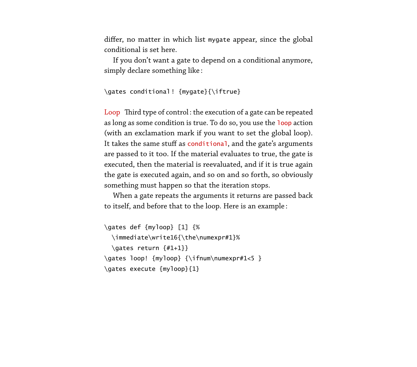differ, no matter in which list mygate appear, since the global conditional is set here.

If you don't want a gate to depend on a conditional anymore, simply declare something like :

```
\gates conditional ! {mygate}{\iftrue}
```
<span id="page-27-0"></span>Loop Third type of control: the execution of a gate can be repeated as long as some condition is true. To do so, you use the loop action (with an exclamation mark if you want to set the global loop). It takes the same stuff as conditional, and the gate's arguments are passed to it too. If the material evaluates to true, the gate is executed, then the material is reevaluated, and if it is true again the gate is executed again, and so on and so forth, so obviously something must happen so that the iteration stops.

When a gate repeats the arguments it returns are passed back to itself, and before that to the loop. Here is an example :

```
\gates def {myloop} [1] {%
 \immediate\write16{\the\numexpr#1}%
 \gates return {#1+1}}
\gates loop! {myloop} {\ifnum\numexpr#1<5 }
\gates execute {myloop}{1}
```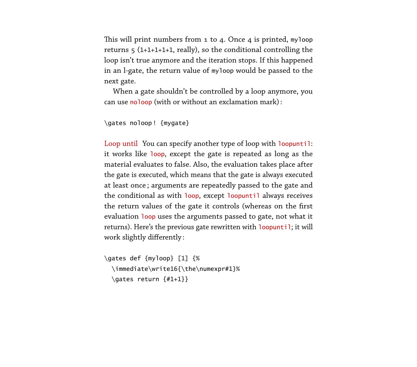This will print numbers from  $1$  to  $4$ . Once  $4$  is printed, myloop returns  $5(1+1+1+1+1,$  really), so the conditional controlling the loop isn't true anymore and the iteration stops. If this happened in an l-gate, the return value of myloop would be passed to the next gate.

When a gate shouldn't be controlled by a loop anymore, you can use noloop (with or without an exclamation mark) :

\gates noloop ! {mygate}

<span id="page-28-0"></span>Loop until You can specify another type of loop with loopuntil: it works like loop, except the gate is repeated as long as the material evaluates to false. Also, the evaluation takes place after the gate is executed, which means that the gate is always executed at least once ; arguments are repeatedly passed to the gate and the conditional as with loop, except loopuntil always receives the return values of the gate it controls (whereas on the first evaluation loop uses the arguments passed to gate, not what it returns). Here's the previous gate rewritten with loopuntil; it will work slightly differently :

```
\gates def {myloop} [1] {%
 \immediate\write16{\the\numexpr#1}%
 \gates return {#1+1}}
```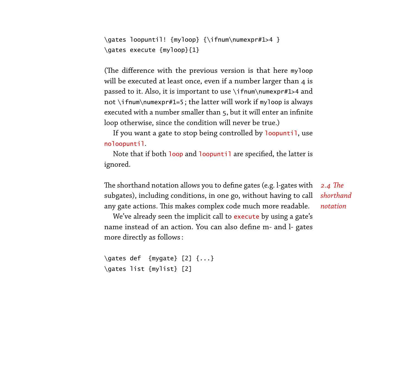```
\gates loopuntil! {myloop} {\ifnum\numexpr#1>4 }
\gates execute {myloop}{1}
```
(The difference with the previous version is that here myloop will be executed at least once, even if a number larger than 4 is passed to it. Also, it is important to use \ifnum\numexpr#1>4 and not \ifnum\numexpr#1=5; the latter will work if myloop is always executed with a number smaller than 5, but it will enter an infinite loop otherwise, since the condition will never be true.)

If you want a gate to stop being controlled by loopuntil, use noloopuntil.

Note that if both loop and loopuntil are specified, the latter is ignored.

<span id="page-29-0"></span>The shorthand notation allows you to define gates (e.g. l-gates with *2.4 The shorthand* subgates), including conditions, in one go, without having to call any gate actions. This makes complex code much more readable.

*notation*

We've already seen the implicit call to execute by using a gate's name instead of an action. You can also define m- and l- gates more directly as follows :

```
\gates def {mygate} [2] {...}
\gates list {mylist} [2]
```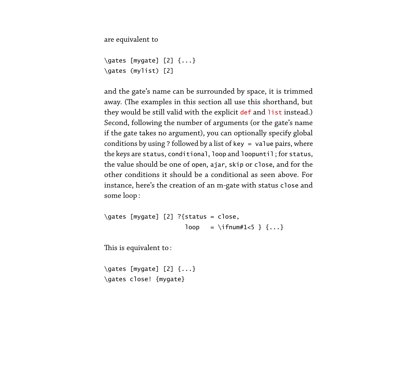are equivalent to

```
\gates [mygate] [2] {...}
\gates (mylist) [2]
```
and the gate's name can be surrounded by space, it is trimmed away. (The examples in this section all use this shorthand, but they would be still valid with the explicit def and list instead.) Second, following the number of arguments (or the gate's name if the gate takes no argument), you can optionally specify global conditions by using ? followed by a list of  $key = value pairs$ , where the keys are status, conditional, loop and loopuntil ; for status, the value should be one of open, ajar, skip or close, and for the other conditions it should be a conditional as seen above. For instance, here's the creation of an m-gate with status close and some loop :

```
\gates [mygate] [2] ?{status = close,
                                                  loop = \ifmmode{\times}5\else{ 100p = \ifmmode{\times}5\else{ 100p = \ifmmode{\times}5\else{ 101 \fi\fi {...}
```
This is equivalent to:

```
\gates [mygate] [2] {...}
\gates close! {mygate}
```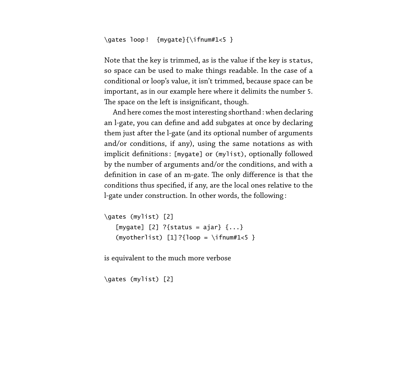Note that the key is trimmed, as is the value if the key is status, so space can be used to make things readable. In the case of a conditional or loop's value, it isn't trimmed, because space can be important, as in our example here where it delimits the number 5. The space on the left is insignificant, though.

And here comes the most interesting shorthand : when declaring an l-gate, you can define and add subgates at once by declaring them just after the l-gate (and its optional number of arguments and/or conditions, if any), using the same notations as with implicit definitions : [mygate] or (mylist), optionally followed by the number of arguments and/or the conditions, and with a definition in case of an m-gate. The only difference is that the conditions thus specified, if any, are the local ones relative to the l-gate under construction. In other words, the following :

```
\gates (mylist) [2]
   [mygate] [2] ?{status = ajar} {...}(myotherlist) [1] ?[loop = \ifnum#1<5 }
```
is equivalent to the much more verbose

\gates (mylist) [2]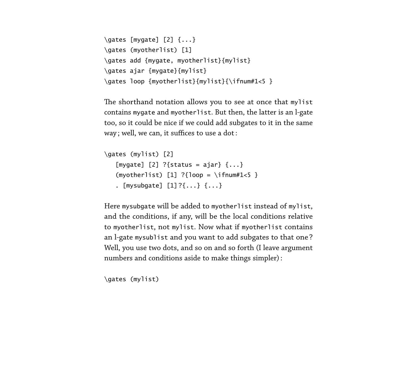```
\gates [mygate] [2] {...}
\gates (myotherlist) [1]
\gates add {mygate, myotherlist}{mylist}
\gates ajar {mygate}{mylist}
\gates loop {myotherlist}{mylist}{\ifnum#1<5 }
```
The shorthand notation allows you to see at once that mylist contains mygate and myotherlist. But then, the latter is an l-gate too, so it could be nice if we could add subgates to it in the same way ; well, we can, it suffices to use a dot :

```
\gates (mylist) [2]
   [mygate] [2] ?{status = ajar} {...}(myotherlist) [1] ?{loop = \ifnum#1<5 }
   . [mysubgate] [1] ?{...} {...}
```
Here mysubgate will be added to myotherlist instead of mylist, and the conditions, if any, will be the local conditions relative to myotherlist, not mylist. Now what if myotherlist contains an l-gate mysublist and you want to add subgates to that one ? Well, you use two dots, and so on and so forth (I leave argument numbers and conditions aside to make things simpler) :

\gates (mylist)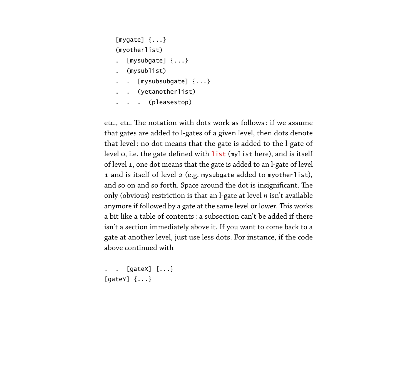```
[mygate] {...}
(myotherlist)
   . [mysubgate] {...}
   . (mysublist)
      . . [mysubsubgate] {...}
```
- . . (yetanotherlist)
- . . . (pleasestop)

etc., etc. The notation with dots work as follows: if we assume that gates are added to l-gates of a given level, then dots denote that level : no dot means that the gate is added to the l-gate of level o, i.e. the gate defined with list (mylist here), and is itself of level 1, one dot means that the gate is added to an l-gate of level 1 and is itself of level 2 (e.g. mysubgate added to myotherlist), and so on and so forth. Space around the dot is insignificant. The only (obvious) restriction is that an l-gate at level *n* isn't available anymore if followed by a gate at the same level or lower. This works a bit like a table of contents : a subsection can't be added if there isn't a section immediately above it. If you want to come back to a gate at another level, just use less dots. For instance, if the code above continued with

 $[gateX]$  {...} [gateY] {...}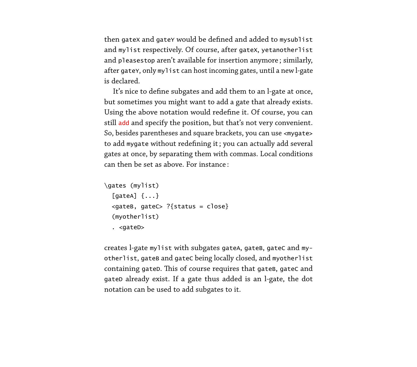then gateX and gateY would be defined and added to mysublist and mylist respectively. Of course, after gateX, yetanotherlist and pleasestop aren't available for insertion anymore ; similarly, after gateY, only mylist can host incoming gates, until a new l-gate is declared.

It's nice to define subgates and add them to an l-gate at once, but sometimes you might want to add a gate that already exists. Using the above notation would redefine it. Of course, you can still add and specify the position, but that's not very convenient. So, besides parentheses and square brackets, you can use <mygate> to add mygate without redefining it ; you can actually add several gates at once, by separating them with commas. Local conditions can then be set as above. For instance :

```
\gates (mylist)
  [gateA] {...}
  <gateB, gateC> ?{status = close}
  (myotherlist)
  . <gateD>
```
creates l-gate mylist with subgates gateA, gateB, gateC and myotherlist, gateB and gateC being locally closed, and myotherlist containing gateD. This of course requires that gateB, gateC and gateD already exist. If a gate thus added is an l-gate, the dot notation can be used to add subgates to it.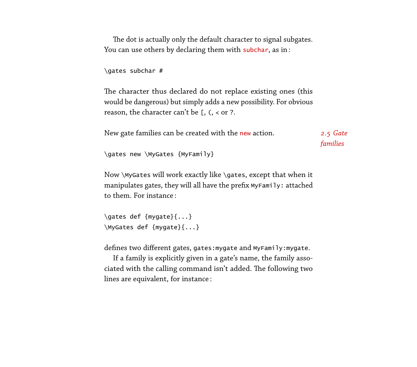The dot is actually only the default character to signal subgates. You can use others by declaring them with subchar, as in:

\gates subchar #

The character thus declared do not replace existing ones (this would be dangerous) but simply adds a new possibility. For obvious reason, the character can't be  $[$ ,  $($ ,  $<$  or  $?$ .

<span id="page-35-0"></span>

| New gate families can be created with the new action. | 2.5 Gate |
|-------------------------------------------------------|----------|
|                                                       | families |

```
\gates new \MyGates {MyFamily}
```
Now \MyGates will work exactly like \gates, except that when it manipulates gates, they will all have the prefix MyFamily: attached to them. For instance :

```
\gates def {mygate}{...}
\MyGates def {mygate}{...}
```
defines two different gates, gates:mygate and MyFamily:mygate.

If a family is explicitly given in a gate's name, the family associated with the calling command isn't added. The following two lines are equivalent, for instance :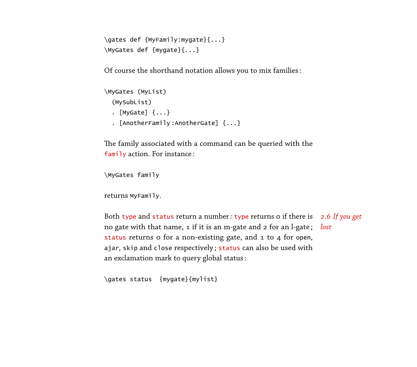```
\gates def {MyFamily:mygate}{...}
\MyGates def {mygate}{...}
```
Of course the shorthand notation allows you to mix families :

```
\MyGates (MyList)
  (MySubList)
  . [MyGate] {...}
  . [AnotherFamily :AnotherGate] {...}
```
The family associated with a command can be queried with the family action. For instance :

```
\MyGates family
```
returns MyFamily.

<span id="page-36-0"></span>Both type and status return a number : type returns 0 if there is *2.6 If you get* no gate with that name, 1 if it is an m-gate and 2 for an l-gate ; *lost* status returns o for a non-existing gate, and 1 to 4 for open, ajar, skip and close respectively; status can also be used with an exclamation mark to query global status :

\gates status {mygate}{mylist}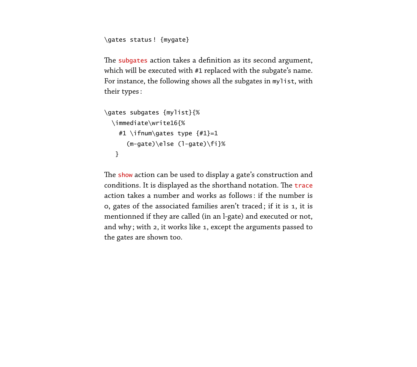```
\gates status ! {mygate}
```
The subgates action takes a definition as its second argument, which will be executed with #1 replaced with the subgate's name. For instance, the following shows all the subgates in mylist, with their types :

```
\gates subgates {mylist}{%
  \immediate\write16{%
   #1 \ifnum\gates type {#1}=1
      (m-gate)\else (l-gate)\fi}%
   }
```
The show action can be used to display a gate's construction and conditions. It is displayed as the shorthand notation. The trace action takes a number and works as follows : if the number is 0, gates of the associated families aren't traced ; if it is 1, it is mentionned if they are called (in an l-gate) and executed or not, and why ; with 2, it works like 1, except the arguments passed to the gates are shown too.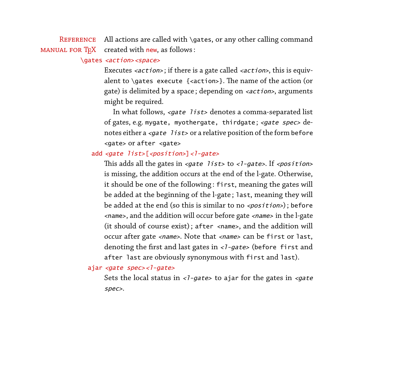REFERENCE All actions are called with  $\gamma$  ates, or any other calling command MANUAL FOR  $T_FX$  created with new, as follows:

#### <span id="page-38-0"></span>\gates <action><space>

Executes <action>; if there is a gate called <action>, this is equivalent to \qates execute {<action>}. The name of the action (or gate) is delimited by a space ; depending on <action>, arguments might be required.

In what follows,  $\langle gate\; list \rangle$  denotes a comma-separated list of gates, e.g. mygate, myothergate, thirdgate; < gate spec> denotes either a  $\langle gate\; list \rangle$  or a relative position of the form before <gate> or after <gate>

#### add <gate  $list > [$  <position>] <l-gate>

This adds all the gates in  $\leq$ gate list> to  $\leq$ l-gate>. If  $\leq$ position> is missing, the addition occurs at the end of the l-gate. Otherwise, it should be one of the following: first, meaning the gates will be added at the beginning of the l-gate ; last, meaning they will be added at the end (so this is similar to no  $\langle positions\rangle$ ; before <name>, and the addition will occur before gate <name> in the l-gate (it should of course exist) ; after <name>, and the addition will occur after gate <name>. Note that <name> can be first or last, denoting the first and last gates in <7-gate> (before first and after last are obviously synonymous with first and last).

# ajar <gate spec><l-gate>

Sets the local status in  $\langle -\frac{1}{g} \rangle$  of the gates in  $\langle$  gates spec>.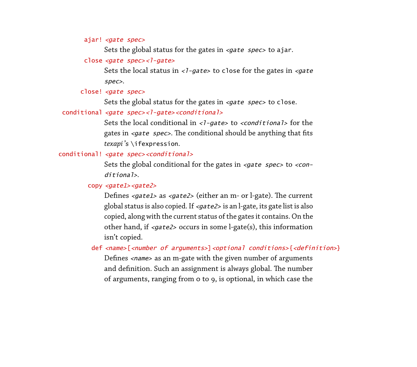#### ajar! < gate spec>

Sets the global status for the gates in  $\le$ gate spec> to ajar.

# close <gate spec><l-gate>

Sets the local status in  $\langle -qate \rangle$  to close for the gates in  $\langle gate$ spec>.

#### close! <gate spec>

Sets the global status for the gates in  $\leq$ gate spec to close.

# conditional <gate spec><l-gate><conditional>

Sets the local conditional in  $\langle -q \rangle$  -gates to  $\langle$  conditional  $>$  for the gates in  $\leq$ gate spec>. The conditional should be anything that fits *texapi* 's \ifexpression.

#### conditional! <gate spec><conditional>

Sets the global conditional for the gates in  $\le$ gate spec> to  $\le$ con $ditional$ 

# copy <gate1><gate2>

Defines  $\langle gate1\rangle$  as  $\langle gate2\rangle$  (either an m- or l-gate). The current global status is also copied. If  $\langle gate2\rangle$  is an l-gate, its gate list is also copied, along with the current status of the gates it contains. On the other hand, if  $\langle gate2 \rangle$  occurs in some l-gate(s), this information isn't copied.

# def <name>[<number of arguments>]<optional conditions>{<definition>}

Defines <name> as an m-gate with the given number of arguments and definition. Such an assignment is always global. The number of arguments, ranging from 0 to 9, is optional, in which case the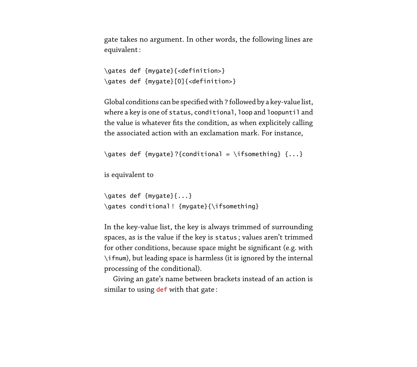gate takes no argument. In other words, the following lines are equivalent :

```
\gates def {mygate}{<definition>}
\gates def {mygate}[0]{<definition>}
```
Global conditions can be specified with ? followed by a key-value list, where a key is one of status, conditional, loop and loopuntil and the value is whatever fits the condition, as when explicitely calling the associated action with an exclamation mark. For instance,

```
\gates def {mygate}?{conditional = \ifsomething} {...}
```
is equivalent to

```
\gates def {mygate}{...}
\gates conditional ! {mygate}{\ifsomething}
```
In the key-value list, the key is always trimmed of surrounding spaces, as is the value if the key is status ; values aren't trimmed for other conditions, because space might be significant (e.g. with \ifnum), but leading space is harmless (it is ignored by the internal processing of the conditional).

Giving an gate's name between brackets instead of an action is similar to using def with that gate: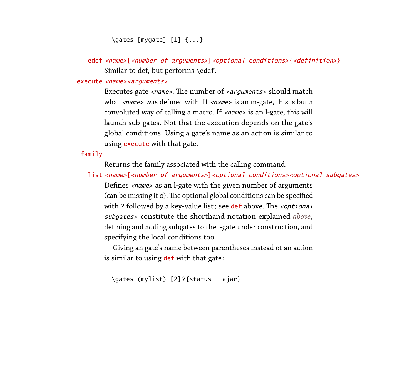\gates [mygate] [1] {...}

edef <name>[<number of arguments>]<optional conditions>{<definition>} Similar to def, but performs \edef.

execute <name><arguments>

Executes gate <*name*>. The number of <*arguments*> should match what <name> was defined with. If <name> is an m-gate, this is but a convoluted way of calling a macro. If  $\langle$ *name*> is an l-gate, this will launch sub-gates. Not that the execution depends on the gate's global conditions. Using a gate's name as an action is similar to using execute with that gate.

family

Returns the family associated with the calling command.

list <name>[<number of arguments>]<optional conditions><optional subgates>

Defines <name> as an l-gate with the given number of arguments (can be missing if o). The optional global conditions can be specified with ? followed by a key-value list; see def above. The  $\leq$ optional subgates> constitute the shorthand notation explained *[above](#page-29-0)*, defining and adding subgates to the l-gate under construction, and specifying the local conditions too.

Giving an gate's name between parentheses instead of an action is similar to using def with that gate :

```
\gates (mylist) [2] ?{status = ajar}
```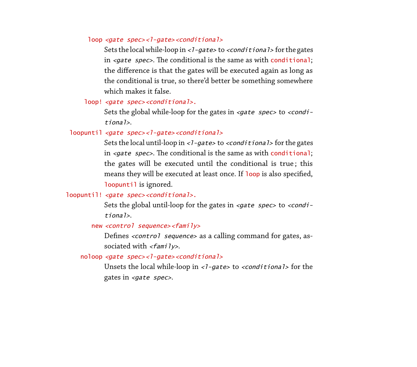#### loop <gate spec><l-gate><conditional>

Sets the local while-loop in  $\langle -q \rangle$  -gates to  $\langle$  conditional  $>$  for the gates in  $\le$ gate spec>. The conditional is the same as with conditional; the difference is that the gates will be executed again as long as the conditional is true, so there'd better be something somewhere which makes it false.

# loop! < gate spec> < conditional>.

Sets the global while-loop for the gates in  $\leq$ gate spec> to  $\leq$ conditional>.

# loopuntil <gate spec><l-gate><conditional>

Sets the local until-loop in < $1$ -gate> to <conditional> for the gates in  $\le$ gate spec>. The conditional is the same as with conditional; the gates will be executed until the conditional is true ; this means they will be executed at least once. If loop is also specified, loopuntil is ignored.

# loopuntil! <gate spec><conditional>.

Sets the global until-loop for the gates in  $\le$ gate spec> to  $\le$ conditional>.

#### new <control sequence><family>

Defines <control sequence> as a calling command for gates, associated with  $\langle$ *family* $\rangle$ .

# noloop <gate spec><l-gate><conditional>

Unsets the local while-loop in  $\langle -1 \rangle$  -gates to  $\langle$  conditionals for the gates in *<gate* spec>.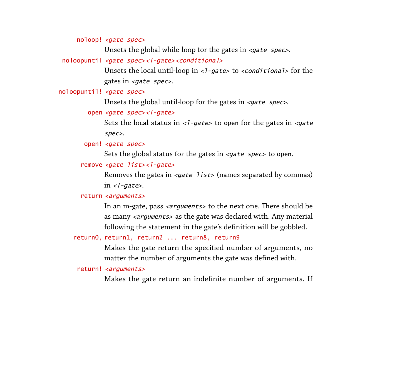noloop! <gate spec>

Unsets the global while-loop for the gates in  $\leq$ gate spec $\geq$ .

noloopuntil <gate spec><l-gate><conditional>

Unsets the local until-loop in  $\langle -q \rangle$  -gates to  $\langle$  conditionals for the gates in  $\leq$ gate spec>.

noloopuntil! <gate spec>

Unsets the global until-loop for the gates in  $\le$ gate spec>.

open <gate spec><l-gate>

Sets the local status in  $\langle -1 - 1 \rangle$  to open for the gates in  $\langle -1 \rangle$ spec>.

open! <gate spec>

Sets the global status for the gates in  $\leq$ gate spec> to open.

#### remove <gate list><l-gate>

Removes the gates in  $\langle gate\; list \rangle$  (names separated by commas) in  $\langle$ -gate>.

#### return <arguments>

In an m-gate, pass *<arguments*> to the next one. There should be as many *<arguments>* as the gate was declared with. Any material following the statement in the gate's definition will be gobbled.

return0, return1, return2 ... return8, return9

Makes the gate return the specified number of arguments, no matter the number of arguments the gate was defined with.

#### return! <arguments>

Makes the gate return an indefinite number of arguments. If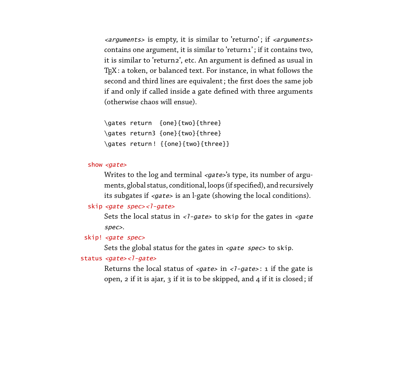<arguments> is empty, it is similar to 'returno'; if <arguments> contains one argument, it is similar to 'return1'; if it contains two, it is similar to 'return2', etc. An argument is defined as usual in TEX: a token, or balanced text. For instance, in what follows the second and third lines are equivalent ; the first does the same job if and only if called inside a gate defined with three arguments (otherwise chaos will ensue).

\gates return {one}{two}{three} \gates return3 {one}{two}{three} \gates return ! {{one}{two}{three}}

#### show *<gate>*

Writes to the log and terminal <gate>'s type, its number of arguments, global status, conditional, loops (if specified), and recursively its subgates if <gate> is an l-gate (showing the local conditions).

# skip <gate spec><l-gate>

Sets the local status in  $\langle -\frac{1}{g} \rangle$  of the gates in  $\langle$  gates spec>.

#### skip! <gate spec>

Sets the global status for the gates in  $\le$ gate spec> to skip.

# status <gate><l-gate>

Returns the local status of  $\langle$ gate> in  $\langle$ -gate>: 1 if the gate is open, 2 if it is ajar, 3 if it is to be skipped, and 4 if it is closed; if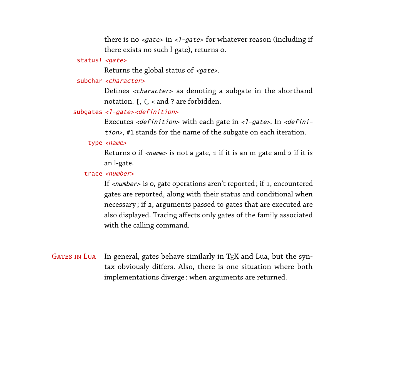there is no  $\langle gate \rangle$  in  $\langle I-gate \rangle$  for whatever reason (including if there exists no such l-gate), returns 0.

#### status! <gate>

Returns the global status of <gate>.

#### subchar <character>

Defines <character> as denoting a subgate in the shorthand notation. [, (, < and ? are forbidden.

# subgates <1-gate><definition>

Executes  $\leq$  definition> with each gate in  $\leq$  1-gate>. In  $\leq$  definition>, #1 stands for the name of the subgate on each iteration.

#### type <name>

Returns o if  $\langle$ *name*> is not a gate, 1 if it is an m-gate and 2 if it is an l-gate.

#### trace <number>

If <*number*> is 0, gate operations aren't reported; if 1, encountered gates are reported, along with their status and conditional when necessary ; if 2, arguments passed to gates that are executed are also displayed. Tracing affects only gates of the family associated with the calling command.

<span id="page-45-0"></span>GATES IN LUA In general, gates behave similarly in TEX and Lua, but the syntax obviously differs. Also, there is one situation where both implementations diverge : when arguments are returned.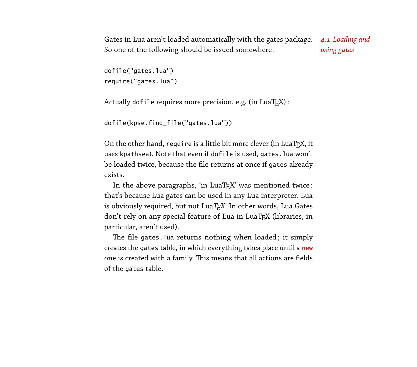Gates in Lua aren't loaded automatically with the gates package. *4.1 Loading and* So one of the following should be issued somewhere : *using gates*

```
dofile("gates.lua")
require("gates.lua")
```
Actually dofile requires more precision, e.g. (in  $LuaTFX$ ):

dofile(kpse.find\_file("gates.lua"))

On the other hand, require is a little bit more clever (in LuaTEX, it uses kpathsea). Note that even if dofile is used, gates.lua won't be loaded twice, because the file returns at once if gates already exists.

In the above paragraphs, 'in LuaTEX' was mentioned twice: that's because Lua gates can be used in any Lua interpreter. Lua is obviously required, but not Lua*TEX*. In other words, Lua Gates don't rely on any special feature of Lua in LuaTEX (libraries, in particular, aren't used).

The file gates. lua returns nothing when loaded; it simply creates the gates table, in which everything takes place until a new one is created with a family. This means that all actions are fields of the gates table.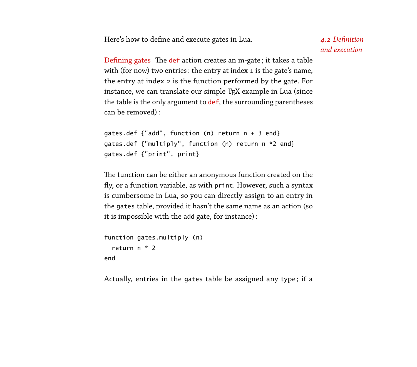<span id="page-47-0"></span>Here's how to define and execute gates in Lua. *4.2 Definition*

Defining gates The def action creates an m-gate; it takes a table with (for now) two entries : the entry at index 1 is the gate's name, the entry at index 2 is the function performed by the gate. For instance, we can translate our simple TEX example in Lua (since the table is the only argument to def, the surrounding parentheses can be removed) :

```
gates.def {"add", function (n) return n + 3 end}
gates.def {"multiply", function (n) return n *2 end}
gates.def {"print", print}
```
The function can be either an anonymous function created on the fly, or a function variable, as with print. However, such a syntax is cumbersome in Lua, so you can directly assign to an entry in the gates table, provided it hasn't the same name as an action (so it is impossible with the add gate, for instance) :

```
function gates.multiply (n)
  return n * 2
end
```
Actually, entries in the gates table be assigned any type ; if a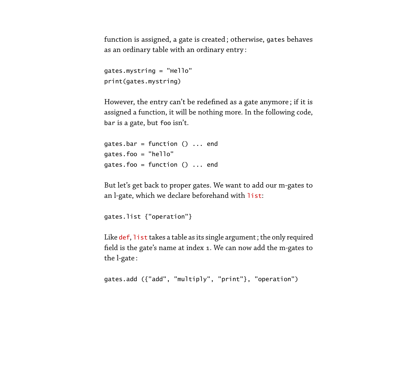function is assigned, a gate is created ; otherwise, gates behaves as an ordinary table with an ordinary entry :

```
gates.mystring = "Hello"
print(gates.mystring)
```
However, the entry can't be redefined as a gate anymore ; if it is assigned a function, it will be nothing more. In the following code, bar is a gate, but foo isn't.

```
gates.bar = function () ... end
gates.foo = "hello"
gates.foo = function () ... end
```
But let's get back to proper gates. We want to add our m-gates to an l-gate, which we declare beforehand with list:

```
gates.list {"operation"}
```
Like def, list takes a table as its single argument; the only required field is the gate's name at index 1. We can now add the m-gates to the l-gate :

```
gates.add ({"add", "multiply", "print"}, "operation")
```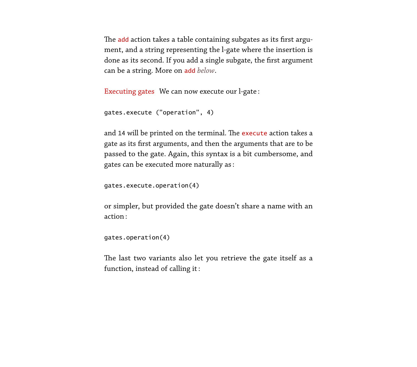The add action takes a table containing subgates as its first argument, and a string representing the l-gate where the insertion is done as its second. If you add a single subgate, the first argument can be a string. More on add *[below](#page-50-0)*.

Executing gates We can now execute our l-gate :

```
gates.execute ("operation", 4)
```
and 14 will be printed on the terminal. The execute action takes a gate as its first arguments, and then the arguments that are to be passed to the gate. Again, this syntax is a bit cumbersome, and gates can be executed more naturally as :

```
gates.execute.operation(4)
```
or simpler, but provided the gate doesn't share a name with an action :

```
gates.operation(4)
```
The last two variants also let you retrieve the gate itself as a function, instead of calling it :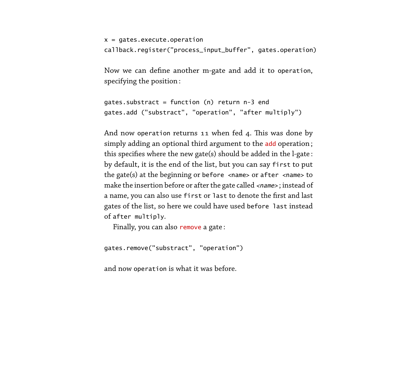```
x = gates.execute.open.
callback.register("process_input_buffer", gates.operation)
```
<span id="page-50-0"></span>Now we can define another m-gate and add it to operation, specifying the position :

```
aates.substract = function (n) return n-3 endgates.add ("substract", "operation", "after multiply")
```
And now operation returns 11 when fed 4. This was done by simply adding an optional third argument to the add operation; this specifies where the new gate(s) should be added in the l-gate : by default, it is the end of the list, but you can say first to put the gate(s) at the beginning or before  $\le$ name $>$  or after  $\le$ name $>$  to make the insertion before or after the gate called <name>; instead of a name, you can also use first or last to denote the first and last gates of the list, so here we could have used before last instead of after multiply.

Finally, you can also remove a gate :

```
gates.remove("substract", "operation")
```
and now operation is what it was before.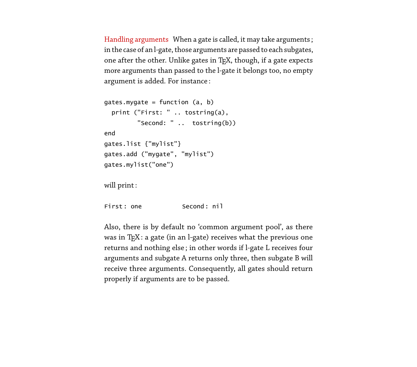Handling arguments When a gate is called, it may take arguments ; in the case of an l-gate, those arguments are passed to each subgates, one after the other. Unlike gates in TEX, though, if a gate expects more arguments than passed to the l-gate it belongs too, no empty argument is added. For instance :

```
gates.mygate = function (a, b)print ("First: " .. tostring(a),
         "Second: " .. tostring(b))
end
gates.list {"mylist"}
gates.add ("mygate", "mylist")
gates.mylist("one")
```
will print :

```
First: one Second: nil
```
Also, there is by default no 'common argument pool', as there was in TEX: a gate (in an l-gate) receives what the previous one returns and nothing else ; in other words if l-gate L receives four arguments and subgate A returns only three, then subgate B will receive three arguments. Consequently, all gates should return properly if arguments are to be passed.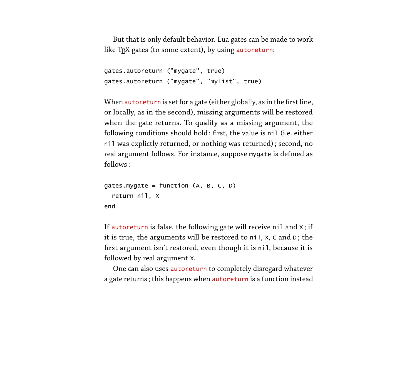But that is only default behavior. Lua gates can be made to work like T<sub>E</sub>X gates (to some extent), by using autoreturn:

```
gates.autoreturn ("mygate", true)
gates.autoreturn ("mygate", "mylist", true)
```
When autoreturn is set for a gate (either globally, as in the first line, or locally, as in the second), missing arguments will be restored when the gate returns. To qualify as a missing argument, the following conditions should hold : first, the value is nil (i.e. either nil was explictly returned, or nothing was returned) ; second, no real argument follows. For instance, suppose mygate is defined as follows :

```
gates.mygate = function (A, B, C, D)return nil, X
end
```
If autoreturn is false, the following gate will receive nil and  $x$ ; if it is true, the arguments will be restored to nil, X, C and D ; the first argument isn't restored, even though it is nil, because it is followed by real argument X.

One can also uses autoreturn to completely disregard whatever a gate returns ; this happens when autoreturn is a function instead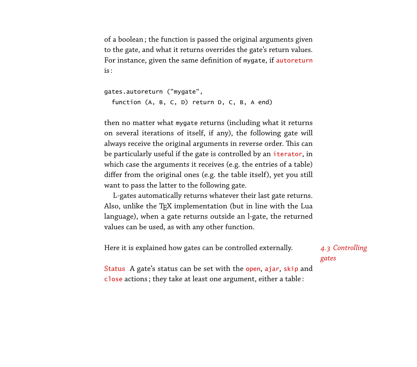of a boolean ; the function is passed the original arguments given to the gate, and what it returns overrides the gate's return values. For instance, given the same definition of mygate, if autoreturn is :

```
gates.autoreturn ("mygate",
  function (A, B, C, D) return D, C, B, A end)
```
then no matter what mygate returns (including what it returns on several iterations of itself, if any), the following gate will always receive the original arguments in reverse order. This can be particularly useful if the gate is controlled by an iterator, in which case the arguments it receives (e.g. the entries of a table) differ from the original ones (e.g. the table itself), yet you still want to pass the latter to the following gate.

L-gates automatically returns whatever their last gate returns. Also, unlike the T<sub>E</sub>X implementation (but in line with the Lua language), when a gate returns outside an l-gate, the returned values can be used, as with any other function.

Here it is explained how gates can be controlled externally. *4.3 Controlling*

*gates*

<span id="page-53-0"></span>Status A gate's status can be set with the open, ajar, skip and close actions ; they take at least one argument, either a table :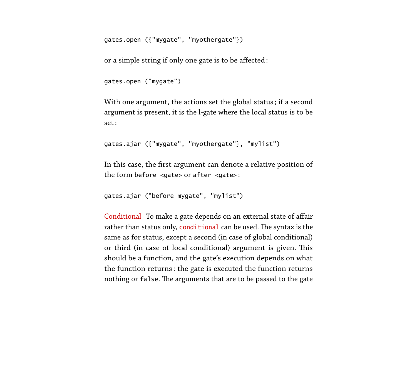```
gates.open ({"mygate", "myothergate"})
```
or a simple string if only one gate is to be affected :

```
gates.open ("mygate")
```
With one argument, the actions set the global status ; if a second argument is present, it is the l-gate where the local status is to be set :

```
gates.ajar ({"mygate", "myothergate"}, "mylist")
```
In this case, the first argument can denote a relative position of the form before <gate> or after <gate> :

```
gates.ajar ("before mygate", "mylist")
```
<span id="page-54-0"></span>Conditional To make a gate depends on an external state of affair rather than status only, conditional can be used. The syntax is the same as for status, except a second (in case of global conditional) or third (in case of local conditional) argument is given. This should be a function, and the gate's execution depends on what the function returns : the gate is executed the function returns nothing or false. The arguments that are to be passed to the gate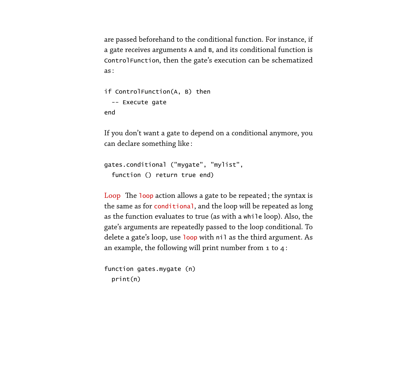are passed beforehand to the conditional function. For instance, if a gate receives arguments A and B, and its conditional function is ControlFunction, then the gate's execution can be schematized as :

```
if ControlFunction(A, B) then
  -- Execute gate
end
```
If you don't want a gate to depend on a conditional anymore, you can declare something like :

```
gates.conditional ("mygate", "mylist",
  function () return true end)
```
<span id="page-55-0"></span>Loop The loop action allows a gate to be repeated; the syntax is the same as for conditional, and the loop will be repeated as long as the function evaluates to true (as with a while loop). Also, the gate's arguments are repeatedly passed to the loop conditional. To delete a gate's loop, use loop with nil as the third argument. As an example, the following will print number from 1 to 4 :

```
function gates.mygate (n)
 print(n)
```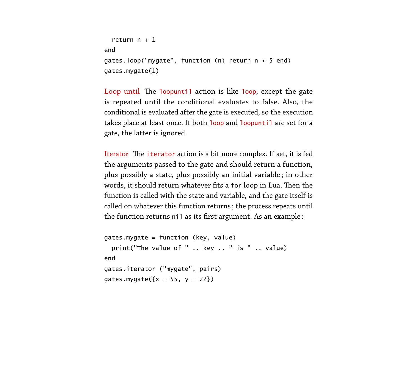```
return n + 1end
gates.loop("mygate", function (n) return n < 5 end)
gates.mygate(1)
```
<span id="page-56-0"></span>Loop until The loopuntil action is like loop, except the gate is repeated until the conditional evaluates to false. Also, the conditional is evaluated after the gate is executed, so the execution takes place at least once. If both loop and loopuntil are set for a gate, the latter is ignored.

<span id="page-56-1"></span>Iterator The iterator action is a bit more complex. If set, it is fed the arguments passed to the gate and should return a function, plus possibly a state, plus possibly an initial variable ; in other words, it should return whatever fits a for loop in Lua. Then the function is called with the state and variable, and the gate itself is called on whatever this function returns ; the process repeats until the function returns nil as its first argument. As an example :

```
gates.mygate = function (key, value)
  print("The value of " .. key .. " is " .. value)
end
gates.iterator ("mygate", pairs)
gates.mygate({x = 55, y = 22})
```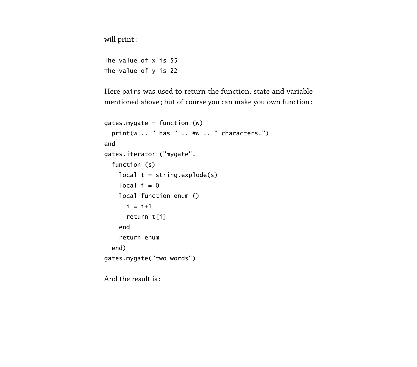will print :

```
The value of x is 55
The value of y is 22
```
Here pairs was used to return the function, state and variable mentioned above ; but of course you can make you own function :

```
gates.mygate = function (w)print(w .. " has " .. #w .. " characters.")
end
gates.iterator ("mygate",
  function (s)
    local t = string.explode(s)local i = 0local function enum ()
     i = i + 1return t[i]
    end
    return enum
  end)
gates.mygate("two words")
```
And the result is :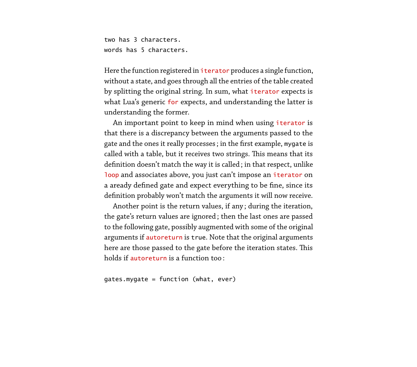```
two has 3 characters.
words has 5 characters.
```
Here the function registered in *iterator* produces a single function, without a state, and goes through all the entries of the table created by splitting the original string. In sum, what iterator expects is what Lua's generic for expects, and understanding the latter is understanding the former.

An important point to keep in mind when using iterator is that there is a discrepancy between the arguments passed to the gate and the ones it really processes ; in the first example, mygate is called with a table, but it receives two strings. This means that its definition doesn't match the way it is called ; in that respect, unlike loop and associates above, you just can't impose an iterator on a aready defined gate and expect everything to be fine, since its definition probably won't match the arguments it will now receive.

Another point is the return values, if any ; during the iteration, the gate's return values are ignored ; then the last ones are passed to the following gate, possibly augmented with some of the original arguments if autoreturn is true. Note that the original arguments here are those passed to the gate before the iteration states. This holds if autoreturn is a function too :

```
gates.mygate = function (what, ever)
```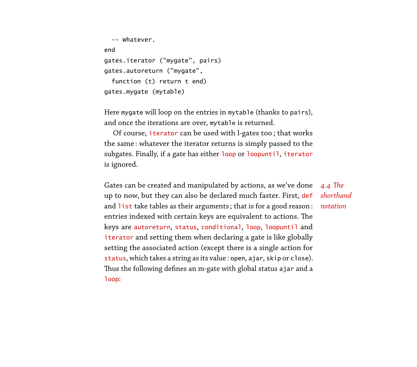```
-- Whatever.
end
gates.iterator ("mygate", pairs)
gates.autoreturn ("mygate",
  function (t) return t end)
gates.mygate (mytable)
```
Here mygate will loop on the entries in mytable (thanks to pairs), and once the iterations are over, mytable is returned.

Of course, iterator can be used with l-gates too ; that works the same : whatever the iterator returns is simply passed to the subgates. Finally, if a gate has either loop or loopuntil, iterator is ignored.

<span id="page-59-0"></span>Gates can be created and manipulated by actions, as we've done 4.4 The up to now, but they can also be declared much faster. First, def and list take tables as their arguments; that is for a good reason: entries indexed with certain keys are equivalent to actions. The keys are autoreturn, status, conditional, loop, loopuntil and iterator and setting them when declaring a gate is like globally setting the associated action (except there is a single action for status, which takes a string as its value : open, ajar, skip or close). Thus the following defines an m-gate with global status ajar and a loop:

*shorthand notation*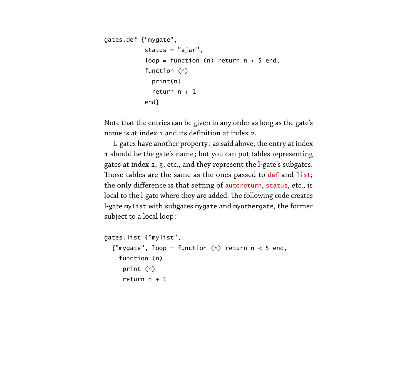```
gates.def {"mygate",
           status = "ajar",
           loop = function (n) return n < 5 end,
           function (n)
             print(n)
             return n + 1end}
```
Note that the entries can be given in any order as long as the gate's name is at index 1 and its definition at index 2.

L-gates have another property : as said above, the entry at index 1 should be the gate's name ; but you can put tables representing gates at index 2, 3, etc., and they represent the l-gate's subgates. Those tables are the same as the ones passed to def and list; the only difference is that setting of autoreturn, status, etc., is local to the l-gate where they are added. The following code creates l-gate mylist with subgates mygate and myothergate, the former subject to a local loop :

```
gates.list {"mylist",
  {"mygate", loop = function (n) return n < 5 end,
    function (n)
     print (n)
     return n + 1
```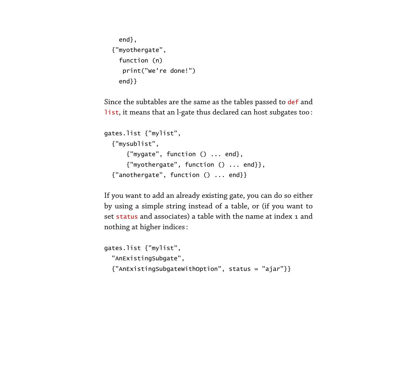```
end},
{"myothergate",
 function (n)
  print("We're done!")
 end}}
```
Since the subtables are the same as the tables passed to def and list, it means that an l-gate thus declared can host subgates too :

```
gates.list {"mylist",
  {"mysublist",
      {"mygate", function () ... end},
      {"myothergate", function () ... end}},
  {"anothergate", function () ... end}}
```
If you want to add an already existing gate, you can do so either by using a simple string instead of a table, or (if you want to set status and associates) a table with the name at index 1 and nothing at higher indices :

```
gates.list {"mylist",
  "AnExistingSubgate",
  {"AnExistingSubgateWithOption", status = "ajar"}}
```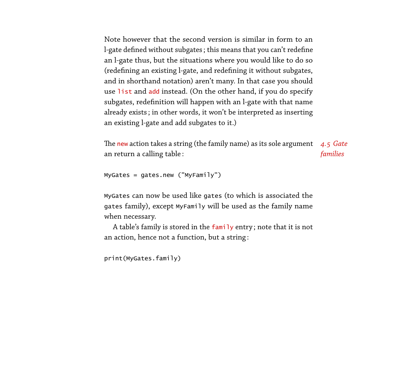Note however that the second version is similar in form to an l-gate defined without subgates ; this means that you can't redefine an l-gate thus, but the situations where you would like to do so (redefining an existing l-gate, and redefining it without subgates, and in shorthand notation) aren't many. In that case you should use list and add instead. (On the other hand, if you do specify subgates, redefinition will happen with an l-gate with that name already exists ; in other words, it won't be interpreted as inserting an existing l-gate and add subgates to it.)

<span id="page-62-0"></span>The new action takes a string (the family name) as its sole argument *4.5 Gate* an return a calling table : *families*

```
MyGates = gates.new ("MyFamily")
```
MyGates can now be used like gates (to which is associated the gates family), except MyFamily will be used as the family name when necessary.

A table's family is stored in the family entry ; note that it is not an action, hence not a function, but a string :

```
print(MyGates.family)
```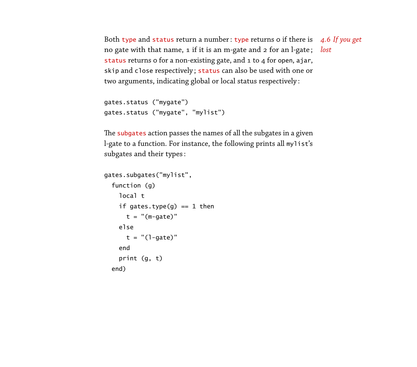<span id="page-63-0"></span>Both type and status return a number : type returns 0 if there is *4.6 If you get* no gate with that name, 1 if it is an m-gate and 2 for an l-gate ; *lost* status returns 0 for a non-existing gate, and 1 to 4 for open, ajar, skip and close respectively ; status can also be used with one or two arguments, indicating global or local status respectively :

```
gates.status ("mygate")
gates.status ("mygate", "mylist")
```
The subgates action passes the names of all the subgates in a given l-gate to a function. For instance, the following prints all mylist's subgates and their types :

```
gates.subgates("mylist",
  function (g)
    local t
    if gates.type(g) == 1 then
      t = "(m-gate)"
    else
      t = " (1-gate)"end
    print (g, t)
  end)
```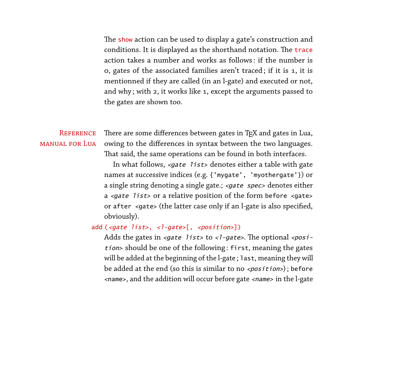The show action can be used to display a gate's construction and conditions. It is displayed as the shorthand notation. The trace action takes a number and works as follows : if the number is 0, gates of the associated families aren't traced ; if it is 1, it is mentionned if they are called (in an l-gate) and executed or not, and why ; with 2, it works like 1, except the arguments passed to the gates are shown too.

REFERENCE There are some differences between gates in TEX and gates in Lua, manual for Lua owing to the differences in syntax between the two languages. That said, the same operations can be found in both interfaces.

> <span id="page-64-0"></span>In what follows, <*gate list>* denotes either a table with gate names at successive indices (e.g. {'mygate', 'myothergate'}) or a single string denoting a single gate.; < gate spec> denotes either a <gate list> or a relative position of the form before <gate> or after <gate> (the latter case only if an l-gate is also specified, obviously).

# add  $(\text{state}$  list>,  $\langle$ l-gate>[,  $\langle position \rangle$ ])

Adds the gates in  $\leq$ gate list> to  $\leq$ l-gate>. The optional  $\leq$ position> should be one of the following: first, meaning the gates will be added at the beginning of the l-gate; last, meaning they will be added at the end (so this is similar to no  $\leq$  position $>$ ); before <name>, and the addition will occur before gate <name> in the l-gate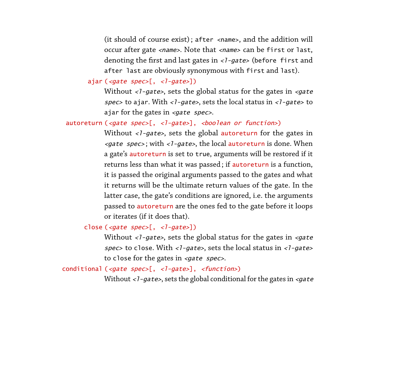(it should of course exist) ; after <name>, and the addition will occur after gate <name>. Note that <name> can be first or last, denoting the first and last gates in <7-gate> (before first and after last are obviously synonymous with first and last).

ajar (<gate spec>[, <l-gate>])

Without  $\langle$ -gate>, sets the global status for the gates in  $\langle$ gate spec> to ajar. With <l-gate>, sets the local status in <l-gate> to ajar for the gates in  $\leq$ gate spec $\geq$ .

autoreturn (<gate spec>[, <l-gate>], <br/>boolean or function>)

Without <1-gate>, sets the global autoreturn for the gates in  $\leq$ gate spec>; with  $\leq$ 1-gate>, the local autoreturn is done. When a gate's autoreturn is set to true, arguments will be restored if it returns less than what it was passed ; if autoreturn is a function, it is passed the original arguments passed to the gates and what it returns will be the ultimate return values of the gate. In the latter case, the gate's conditions are ignored, i.e. the arguments passed to autoreturn are the ones fed to the gate before it loops or iterates (if it does that).

close (<gate spec>[, <l-gate>])

Without  $\langle$ -gate>, sets the global status for the gates in  $\langle$ gate spec> to close. With < $1-gate$ >, sets the local status in < $1-gate$ >> to close for the gates in  $\le$ gate spec>.

conditional (<gate spec>[, <l-gate>], <function>)

Without < $1$ -gate>, sets the global conditional for the gates in <gate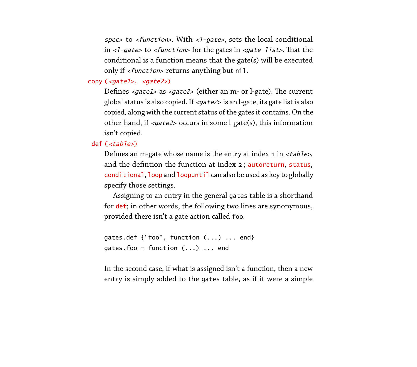spec> to <function>. With <l-gate>, sets the local conditional in  $\langle$ -gate> to  $\langle$  function> for the gates in  $\langle$  gate 1 ist>. That the conditional is a function means that the gate(s) will be executed only if <*function>* returns anything but nil.

# copy (<gate1>, <gate2>)

Defines  $\langle gate1\rangle$  as  $\langle gate2\rangle$  (either an m- or l-gate). The current global status is also copied. If  $\langle gate2\rangle$  is an l-gate, its gate list is also copied, along with the current status of the gates it contains. On the other hand, if  $\langle gate2 \rangle$  occurs in some l-gate(s), this information isn't copied.

# def (<table>)

Defines an m-gate whose name is the entry at index 1 in  $<$ table>, and the defintion the function at index 2 ; autoreturn, status, conditional, loop and loopuntil can also be used as key to globally specify those settings.

Assigning to an entry in the general gates table is a shorthand for def; in other words, the following two lines are synonymous, provided there isn't a gate action called foo.

```
gates.def {"foo", function (...) ... end}
gates.foo = function ( \ldots ) ... end
```
In the second case, if what is assigned isn't a function, then a new entry is simply added to the gates table, as if it were a simple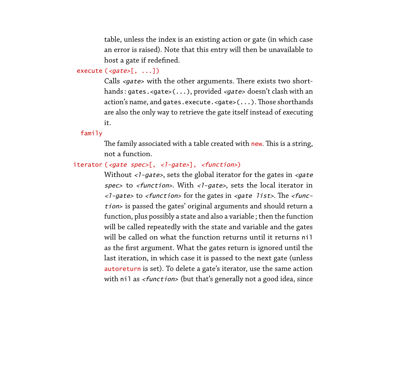table, unless the index is an existing action or gate (in which case an error is raised). Note that this entry will then be unavailable to host a gate if redefined.

# execute (<gate>[, ...])

Calls  $\le$ gate> with the other arguments. There exists two shorthands : gates.<gate>(...), provided <gate> doesn't clash with an action's name, and gates.execute.<gate> $( \ldots )$ . Those shorthands are also the only way to retrieve the gate itself instead of executing it.

family

The family associated with a table created with new. This is a string, not a function.

# iterator (<gate spec>[, <l-gate>], <function>)

Without  $\langle$ -gate>, sets the global iterator for the gates in  $\langle$ gate spec> to <function>. With <l-gate>, sets the local iterator in  $\langle$ -gate> to  $\langle$  function> for the gates in  $\langle$ gate list>. The  $\langle$  function> is passed the gates' original arguments and should return a function, plus possibly a state and also a variable ; then the function will be called repeatedly with the state and variable and the gates will be called on what the function returns until it returns nil as the first argument. What the gates return is ignored until the last iteration, in which case it is passed to the next gate (unless autoreturn is set). To delete a gate's iterator, use the same action with nil as  $\langle$  *function*> (but that's generally not a good idea, since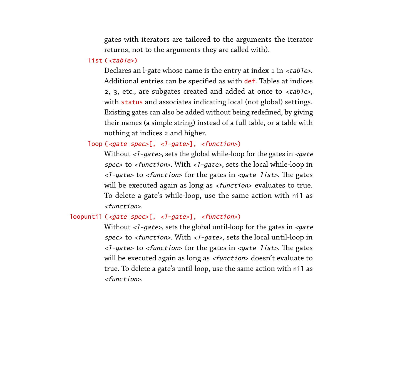gates with iterators are tailored to the arguments the iterator returns, not to the arguments they are called with).

# list  $(\langle tab \rangle$

Declares an l-gate whose name is the entry at index 1 in <table>. Additional entries can be specified as with def. Tables at indices 2, 3, etc., are subgates created and added at once to <table>, with status and associates indicating local (not global) settings. Existing gates can also be added without being redefined, by giving their names (a simple string) instead of a full table, or a table with nothing at indices 2 and higher.

loop (<gate spec>[, <l-gate>], <function>)

Without  $\langle$ -gate>, sets the global while-loop for the gates in  $\langle$ gate spec> to <*function*>. With <*l*-gate>, sets the local while-loop in  $\langle$ -gate> to  $\langle$  function> for the gates in  $\langle$  gate list>. The gates will be executed again as long as <*function*> evaluates to true. To delete a gate's while-loop, use the same action with nil as <function>.

# loopuntil (<gate spec>[, <l-gate>], <function>)

Without  $\langle -1 - gate \rangle$ , sets the global until-loop for the gates in  $\langle gate \rangle$ spec> to <*function>*. With <*l*-gate>, sets the local until-loop in  $\langle$ -gate> to  $\langle$  function> for the gates in  $\langle$  gate list>. The gates will be executed again as long as <function> doesn't evaluate to true. To delete a gate's until-loop, use the same action with nil as <function>.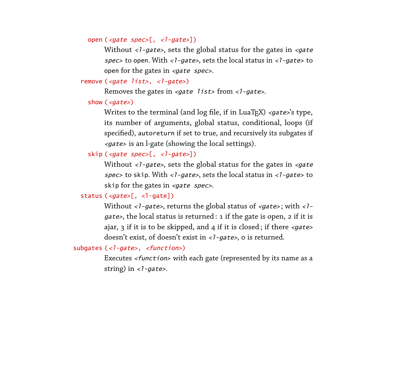# open (<gate spec>[, <l-gate>])

Without  $\langle$ -gate>, sets the global status for the gates in  $\langle$ gate spec> to open. With <1-gate>, sets the local status in <1-gate> to open for the gates in  $\le$ gate spec>.

# remove (<gate list>, <l-gate>)

Removes the gates in <gate list> from <l-gate>.

# show (<gate>)

Writes to the terminal (and  $log$  file, if in LuaT<sub>E</sub>X) <*gate>*'s type, its number of arguments, global status, conditional, loops (if specified), autoreturn if set to true, and recursively its subgates if <gate> is an l-gate (showing the local settings).

# skip (<gate spec>[, <l-gate>])

Without  $\langle$ -gate>, sets the global status for the gates in  $\langle$ gate spec> to skip. With < $1$ -gate>, sets the local status in < $1$ -gate> to skip for the gates in <gate spec>.

# status (<gate>[, <l-gate])

Without <1-gate>, returns the global status of <gate>; with <1gate>, the local status is returned : 1 if the gate is open, 2 if it is ajar, 3 if it is to be skipped, and 4 if it is closed; if there  $\langle gate \rangle$ doesn't exist, of doesn't exist in <1-gate>, o is returned.

# subgates (<1-gate>, <function>)

Executes <function> with each gate (represented by its name as a string) in  $\langle -qate \rangle$ .